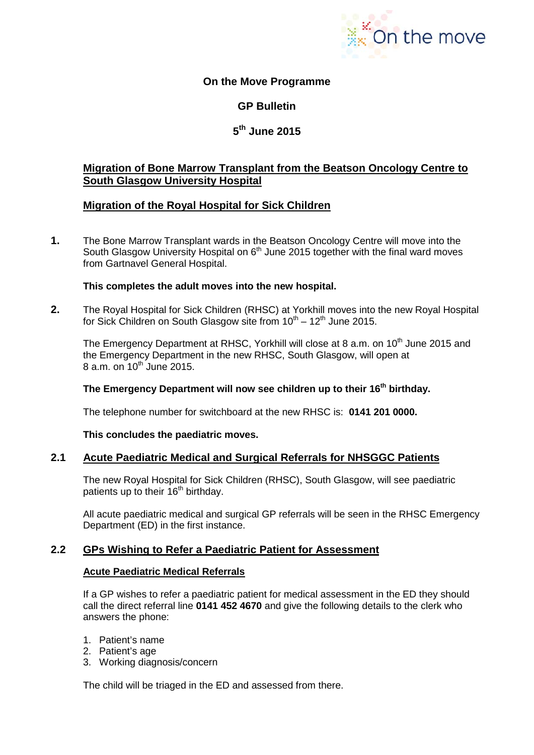

# **On the Move Programme**

# **GP Bulletin**

# **5th June 2015**

# **Migration of Bone Marrow Transplant from the Beatson Oncology Centre to South Glasgow University Hospital**

# **Migration of the Royal Hospital for Sick Children**

**1.** The Bone Marrow Transplant wards in the Beatson Oncology Centre will move into the South Glasgow University Hospital on  $6<sup>th</sup>$  June 2015 together with the final ward moves from Gartnavel General Hospital.

### **This completes the adult moves into the new hospital.**

**2.** The Royal Hospital for Sick Children (RHSC) at Yorkhill moves into the new Royal Hospital for Sick Children on South Glasgow site from  $10^{th} - 12^{th}$  June 2015.

The Emergency Department at RHSC, Yorkhill will close at 8 a.m. on 10<sup>th</sup> June 2015 and the Emergency Department in the new RHSC, South Glasgow, will open at  $8$  a.m. on  $10^{th}$  June 2015.

## The Emergency Department will now see children up to their 16<sup>th</sup> birthday.

The telephone number for switchboard at the new RHSC is: **0141 201 0000.**

#### **This concludes the paediatric moves.**

## **2.1 Acute Paediatric Medical and Surgical Referrals for NHSGGC Patients**

The new Royal Hospital for Sick Children (RHSC), South Glasgow, will see paediatric patients up to their 16<sup>th</sup> birthday.

All acute paediatric medical and surgical GP referrals will be seen in the RHSC Emergency Department (ED) in the first instance.

## **2.2 GPs Wishing to Refer a Paediatric Patient for Assessment**

## **Acute Paediatric Medical Referrals**

If a GP wishes to refer a paediatric patient for medical assessment in the ED they should call the direct referral line **0141 452 4670** and give the following details to the clerk who answers the phone:

- 1. Patient's name
- 2. Patient's age
- 3. Working diagnosis/concern

The child will be triaged in the ED and assessed from there.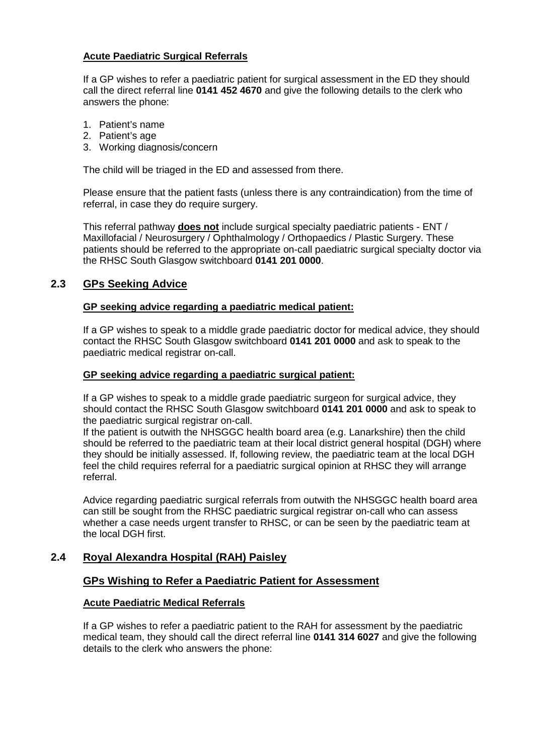## **Acute Paediatric Surgical Referrals**

If a GP wishes to refer a paediatric patient for surgical assessment in the ED they should call the direct referral line **0141 452 4670** and give the following details to the clerk who answers the phone:

- 1. Patient's name
- 2. Patient's age
- 3. Working diagnosis/concern

The child will be triaged in the ED and assessed from there.

Please ensure that the patient fasts (unless there is any contraindication) from the time of referral, in case they do require surgery.

This referral pathway **does not** include surgical specialty paediatric patients - ENT / Maxillofacial / Neurosurgery / Ophthalmology / Orthopaedics / Plastic Surgery. These patients should be referred to the appropriate on-call paediatric surgical specialty doctor via the RHSC South Glasgow switchboard **0141 201 0000**.

## **2.3 GPs Seeking Advice**

### **GP seeking advice regarding a paediatric medical patient:**

If a GP wishes to speak to a middle grade paediatric doctor for medical advice, they should contact the RHSC South Glasgow switchboard **0141 201 0000** and ask to speak to the paediatric medical registrar on-call.

#### **GP seeking advice regarding a paediatric surgical patient:**

If a GP wishes to speak to a middle grade paediatric surgeon for surgical advice, they should contact the RHSC South Glasgow switchboard **0141 201 0000** and ask to speak to the paediatric surgical registrar on-call.

If the patient is outwith the NHSGGC health board area (e.g. Lanarkshire) then the child should be referred to the paediatric team at their local district general hospital (DGH) where they should be initially assessed. If, following review, the paediatric team at the local DGH feel the child requires referral for a paediatric surgical opinion at RHSC they will arrange referral.

Advice regarding paediatric surgical referrals from outwith the NHSGGC health board area can still be sought from the RHSC paediatric surgical registrar on-call who can assess whether a case needs urgent transfer to RHSC, or can be seen by the paediatric team at the local DGH first.

# **2.4 Royal Alexandra Hospital (RAH) Paisley**

## **GPs Wishing to Refer a Paediatric Patient for Assessment**

## **Acute Paediatric Medical Referrals**

If a GP wishes to refer a paediatric patient to the RAH for assessment by the paediatric medical team, they should call the direct referral line **0141 314 6027** and give the following details to the clerk who answers the phone: